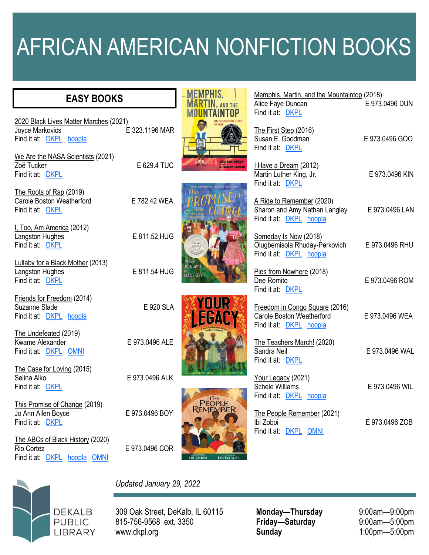## AFRICAN AMERICAN NONFICTION BOOKS

**MEMPHIS, MARTIN. AND THE** 

Memphis, Martin, and the Mountaintop (2018)<br>Alice Fave Duncan E 973.0496 DUN

Alice Fave Duncan

## **EASY BOOKS**

|                                                                                      |                | <b>MOUNTAINTOP</b>                                     | Find it at: DKPL                                                                       |                |
|--------------------------------------------------------------------------------------|----------------|--------------------------------------------------------|----------------------------------------------------------------------------------------|----------------|
| 2020 Black Lives Matter Marches (2021)<br>Joyce Markovics<br>Find it at: DKPL hoopla | E 323.1196 MAR |                                                        | The First Step (2016)<br>Susan E. Goodman<br>Find it at: DKPL                          | E 973.0496 GOO |
| We Are the NASA Scientists (2021)<br>Zoë Tucker<br>Find it at: DKPL                  | E 629.4 TUC    | <b>ALICE FAYE DUNCAN</b><br><b>R. GREGORY CHRISTIE</b> | I Have a Dream (2012)<br>Martin Luther King, Jr.<br>Find it at: DKPL                   | E 973.0496 KIN |
| The Roots of Rap (2019)<br>Carole Boston Weatherford<br>Find it at: DKPL             | E 782.42 WEA   | This                                                   | A Ride to Remember (2020)<br>Sharon and Amy Nathan Langley<br>Find it at: DKPL hoopla  | E 973.0496 LAN |
| I, Too, Am America (2012)<br>Langston Hughes<br>Find it at: DKPL                     | E 811.52 HUG   |                                                        | Someday Is Now (2018)<br>Olugbemisola Rhuday-Perkovich<br>Find it at: DKPL hoopla      | E 973.0496 RHU |
| Lullaby for a Black Mother (2013)<br>Langston Hughes<br>Find it at: DKPL             | E 811.54 HUG   | <b>ALLEN BOYCE</b><br><b>DEBBIE LEVY</b>               | Pies from Nowhere (2018)<br>Dee Romito<br>Find it at: DKPL                             | E 973.0496 ROM |
| Friends for Freedom (2014)<br>Suzanne Slade<br>Find it at: DKPL hoopla               | E 920 SLA      | YOUR 3<br>EGACY                                        | Freedom in Congo Square (2016)<br>Carole Boston Weatherford<br>Find it at: DKPL hoopla | E 973.0496 WEA |
| The Undefeated (2019)<br>Kwame Alexander<br>Find it at: DKPL OMNI                    | E 973.0496 ALE |                                                        | The Teachers March! (2020)<br>Sandra Neil<br>Find it at: DKPL                          | E 973.0496 WAL |
| The Case for Loving (2015)<br>Selina Alko<br>Find it at: DKPL                        | E 973.0496 ALK |                                                        | Your Legacy (2021)<br><b>Schele Williams</b><br>Find it at: DKPL hoopla                | E 973.0496 WIL |
| This Promise of Change (2019)<br>Jo Ann Allen Boyce<br>Find it at: DKPL              | E 973.0496 BOY | PEOPLE<br>REMEMBER                                     | The People Remember (2021)<br>Ibi Zoboi<br>Find it at: DKPL OMNI                       | E 973.0496 ZOB |
| The ABCs of Black History (2020)<br>Rio Cortez<br>Find it at: DKPL hoopla OMNI       | E 973.0496 COR | <b>IBI ZOBOI</b><br>LOVEIS WISE                        |                                                                                        |                |



*Updated January 29, 2022*

309 Oak Street, DeKalb, IL 60115 815-756-9568 ext. 3350 www.dkpl.org

**Monday—Thursday** 9:00am—9:00pm<br> **Friday—Saturday** 9:00am—5:00pm  $Friday$  **Saturday Sunday** 1:00pm—5:00pm